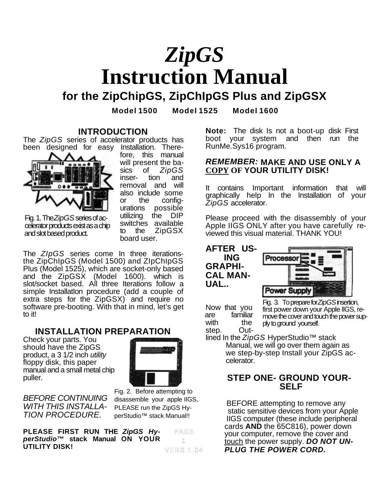# *ZipGS* **Instruction Manual**

**for the ZipChipGS, ZipChIpGS Plus and ZipGSX**

**Model 1500 Model 1525 Model 1600**

#### **INTRODUCTION**

The *ZipGS* series of accelerator products has been designed for easy Installation. There-



fore, this manual will present the basics of *ZipGS* inserremoval and will also include some or the config-<br>urations possible possible utilizing the DIP switches available to the ZipGSX board user.

Fig. 1. The *ZipGS* series of accelerator products exist as a chip and slot based product.

The *ZIpGS* series come In three iterationsthe ZipChIpGS (Model 1500) and ZIpChIpGS Plus (Model 1525), which are socket-only based and the ZipGSX (Model 1600). which is slot/socket based. All three Iterations follow a simple InstallatIon procedure (add a couple of extra steps for the ZipGSX) and require no software pre-booting. With that in mind, let's get to it!

# **INSTALLATION PREPARATION**

Check your parts. You should have the ZipGS product, a 3 1/2 inch *utility* floppy disk, this paper manual and a small metal chip puller.



*BEFORE CONTINUING WITH THIS INSTALLA-TION PROCEDURE.*

Fig. 2. Before attempting to disassemble your apple IIGS, PLEASE run the ZipGS HyperStudio™ stack Manual!!

**PLEASE FIRST RUN THE** *ZipGS HyperStudio™* **stack Manual ON YOUR UTILITY DISK!** PAGE 1 VERS.1.04

**Note:** The disk Is not a boot-up disk First boot your system and then run the RunMe.Sys16 program.

### *REMEMBER:* **MAKE AND USE ONLY A COPY OF YOUR UTILITY DISK!**

It contains Important information that will graphically help In the Installation of your *ZipGS* accelerator.

Please proceed with the disassembly of your Apple IIGS ONLY after you have carefully reviewed this visual material. THANK YOU!

**AFTER US-ING GRAPHI-CAL MAN-UAL..**



Now that you are familiar Fig. 3. To prepare for *ZipGS* insertion, first power down your Apple IlGS, remove the cover and touch the power supply to ground yourself.

with the plytoground yourself.<br>step. Out-<br>lined In the ZipGS HyperStudio<sup>TM</sup> stack Manual, we will go over them again as we step-by-step Install your ZipGS accelerator.

# **STEP ONE- GROUND YOUR- SELF**

BEFORE attempting to remove any static sensitive devices from your Apple IIGS computer (these include peripheral cards **AND** the 65C816), power down your computer, remove the cover and touch the power supply. *DO NOT UN-PLUG THE POWER CORD.*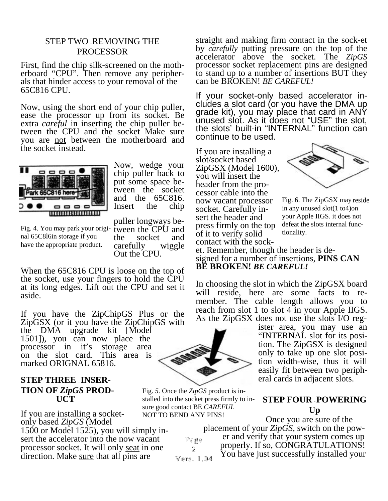# STEP TWO - REMOVING THE PROCESSOR

First, find the chip silk-screened on the motherboard "CPU". Then remove any peripherals that hinder access to your removal of the 65C816 CPU.

Now, using the short end of your chip puller, ease the processor up from its socket. Be extra *careful* in inserting the chip puller between the CPU and the socket Make sure you are not between the motherboard and the socket instead.



Now, wedge your chip puller back to put some space between the socket and the 65C816. Insert the chip

Fig. 4. You may park your origi- tween the CPU and press  $\frac{1}{1}$  of it to verify solid tionality. nal 65C8l6in storage if you have the appropriate product.

puller longways bethe socket and carefully wiggle Out the CPU.

When the 65C816 CPU is loose on the top of the socket, use your fingers to hold the CPU at its long edges. Lift out the CPU and set it aside.

If you have the ZipChipGS Plus or the ZipGSX (or it you have the ZipChipGS with the DMA upgrade kit [Model 1501]), you can now place the processor in it's storage area on the slot card. This area is marked ORIGNAL 65816.

### **STEP THREE – INSER-TION OF** *ZipGS* **PROD- UCT**

If you are installing a socketonly based *ZipGS* (Model 1500 or Model 1525), you will simply insert the accelerator into the now vacant processor socket. It will only seat in one direction. Make sure that all pins are



Fig. *5.* Once the *ZipGS* product is installed into the socket press firmly to insure good contact BE *CAREFUL* NOT TO BEND ANY PINS!

Page 2 Vers. 1.04 Vers.

straight and making firm contact in the sock-et by *carefully* putting pressure on the top of the accelerator above the socket. The *ZipGS* processor socket replacement pins are designed to stand up to a number of insertions BUT they can be BROKEN! *BE CAREFUL!*

If your socket-only based accelerator includes a slot card (or you have the DMA up grade kit), you may place that card in ANY unused slot. As it does not "USE" the slot, the slots' built-in "INTERNAL" function can continue to be used.

If you are installing a slot/socket based ZipGSX (Model 1600), you will insert the header from the processor cable into the now vacant processor socket. Carefully insert the header and press firmly on the top of it to verify solid contact with the sock-



Fig. 6. The ZipGSX may reside in any unused slot(1 to4)on your Apple IIGS. it does not defeat the slots internal func-

et. Remember, though the header is designed for a number of insertions, **PINS CAN BE BROKEN!** *BE CAREFUL!*

In choosing the slot in which the ZipGSX board will reside, here are some facts to remember. The cable length allows you to reach from slot 1 to slot 4 in your Apple IIGS. As the ZipGSX does not use the slots I/O reg-

> ister area, you may use an "INTERNAL slot for its position. The ZipGSX is designed only to take up one slot position width-wise, thus it will easily fit between two peripheral cards in adjacent slots.

## **STEP FOUR POWERING Up**

Once you are sure of the placement of your *ZipGS,* switch on the power and verify that your system comes up properly. If so, CONGRATULATIONS! You have just successfully installed your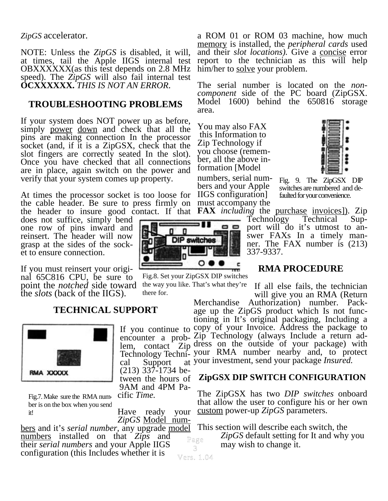*ZipGS* accelerator.

NOTE: Unless the *ZipGS* is disabled, it will, at times, tail the Apple IIGS internal test OBXXXXXX(as this test depends on 2.8 MHz speed). The *ZipGS* will also fail internal test **OCXXXXXX.** *THIS IS NOT AN ERROR.*

# **TROUBLESHOOTING PROBLEMS**

If your system does NOT power up as before, simply power down and check that all the pins are making connection In the processor socket (and, if it is a ZipGSX, check that the slot fingers are correctly seated In the slot). Once you have checked that all connections are in place, again switch on the power and verify that your system comes up property.

At times the processor socket is too loose for the cable header. Be sure to press firmly on the header to insure good contact. If that

does not suffice, simply bend one row of pins inward and reinsert. The header will now grasp at the sides of the socket to ensure connection.

If you must reinsert your original 65C816 CPU, be sure to point the *notched* side toward the *slots* (back of the IIGS).

# **TECHNICAL SUPPORT**



Fig.7. Make sure the RMA number is on the box when you send it!

cal Support (213) 337-1734 between the hours of 9AM and 4PM Pacific *Time.*

there for.

Have ready your *ZipGS* Model num-

bers and it's *serial number,* any upgrade model numbers installed on that *Zips* and their *serial numbers* and your Apple IIGS configuration (this Includes whether it is

a ROM 01 or ROM 03 machine, how much memory is installed, the *peripheral cards* used and their *slot locations).* Give a concise error report to the technician as this will help him/her to <u>solve</u> your problem.

The serial number is located on the *noncomponent* side of the PC board (ZipGSX. Model 1600) behind the 650816 storage area.

You may also FAX this Information to Zip Technology if you choose (remember, all the above information [Model

numbers, serial numbers and your Apple IIGS configuration] must accompany the

--

c

Fig. 9. The ZipGSX DIP switches are numbered and defaulted for your convenience.

**FAX** *including* the purchase invoices]). Zip

Technology Technical Support will do it's utmost to answer FAXs In a timely manner. The FAX number is (213) 337-9337.

# **RMA PROCEDURE**

If all else fails, the technician will give you an RMA (Return

If you continue to copy of your Invoice. Address the package to encounter a prob-Zip Technology (always Include a return adlem, contact Zip dress on the outside of your package) with Technology Techni-your RMA number nearby and, to protect Merchandise Authorization) number. Package up the ZipGS product which Is not functioning in It's original packaging, Including a your investment, send your package *Insured.*

# **ZipGSX DIP SWITCH CONFIGURATION**

The ZipGSX has two *DIP switches* onboard that allow the user to configure his or her own custom power-up *ZipGS* parameters.

This section will describe each switch, the

*ZipGS* default setting for It and why you may wish to change it.

3 Vers. 1.04

Page

Fig.8. Set your ZipGSX DIP switches the way you like. That's what they're

o (

**DIP switches** 

п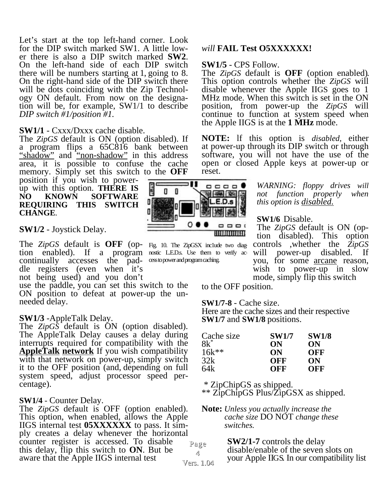Let's start at the top left-hand corner. Look for the DIP switch marked SW1. A little lower there is also a DIP switch marked **SW2**. On the left-hand side of each DIP switch there will be numbers starting at 1, going to 8. On the right-hand side of the DIP switch there will be dots coinciding with the Zip Technology ON default. From now on the designation will be, for example, SW1/1 to describe *DIP switch #1/position #1.*

### **SW1/1** - Cxxx/Dxxx cache disable.

The *ZipGS* default is ON (option disabled). If a program flips a 65C816 bank between "shadow" and "non-shadow" in this address area, it is possible to confuse the cache memory. Simply set this switch to the **OFF**

position if you wish to powerup with this option. **THERE IS NO KNOWN SOFTWARE REQUIRING THIS SWITCH CHANGE***.*

# **SW1/2** - Joystick Delay.

The *ZipGS* default is **OFF** (op-Fig. 10. The ZipGSX inc1ude two diagtion enabled). If a program nostic LEDs. Use them to verify accontinually accesses the pad-  $\cos$ to power and program caching. dle registers (even when it's not being used) and you don't

use the paddle, you can set this switch to the ON position to defeat at power-up the unneeded delay.

#### **SW1/3** -AppleTalk Delay.

The *ZipGS* default is ON (option disabled). The AppleTalk Delay causes a delay during interrupts required for compatibility with the **AppleTalk network** If you wish compatibility with that network on power-up, simply switch it to the OFF position (and, depending on full system speed, adjust processor speed percentage).

#### **SW1/4** *-* Counter Delay.

Page Vers. 1.04 The *ZipGS* default is OFF (option enabled). This option, when enabled, allows the Apple IIGS internal test **05XXXXXX** to pass. It simply creates a delay whenever the horizontal counter register is accessed. To disable this delay, flip this switch to **ON**. But be aware that the Apple IIGS internal test

# *will* **FAIL Test O5XXXXXX!**

**SW1/5** - CPS Follow.<br>The *ZipGS* default is **OFF** (option enabled). This option controls whether the *ZipGS* will disable whenever the Apple IIGS goes to 1 MHz mode. When this switch is set in the ON position, from power-up the *ZipGS* will continue to function at system speed when the Apple IIGS is at the **1 MHz** mode.

**NOTE:** lf this option is *disabled,* either at power-up through its DIP switch or through software, you will not have the use of the open or closed Apple keys at power-up or reset.

> *WARNING: floppy drives will not function properly when this option is disabled.*

#### **SW1/6** Disable.

The *ZipGS* default is ON (option disabled). This option controls ,whether the *ZipGS* will power-up disabled. If you, for some arcane reason, wish to power-up in slow mode, simply flip this switch

to the OFF position.

**SW1/7-8** - Cache size.

Here are the cache sizes and their respective **SW1/7** and **SW1/8** positions.

| Cache size | <b>SW1/7</b> | <b>SW1/8</b> |
|------------|--------------|--------------|
| $8k^*$     | ON           | ON           |
| $16k**$    | ON           | <b>OFF</b>   |
| 32k        | OFF          | ON           |
| 64k        | OFF          | OFF          |

\* ZipChipGS as shipped.

\*\* ZipChipGS Plus/ZipGSX as shipped.

**Note:** *Unless you actually increase the cache size* DO NOT *change these switches.*

> **SW2/1-7** controls the delaydisable/enable of the seven slots on your Apple IIGS. In our compatibility list



4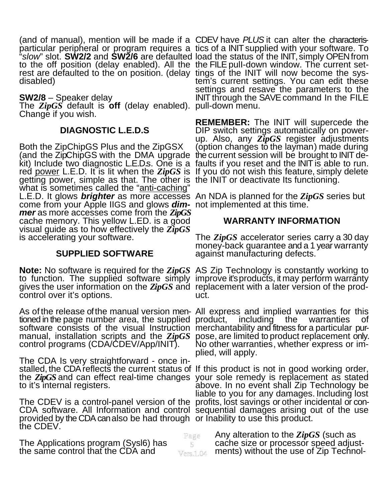(and of manual), mention will be made if a CDEV have *PLUS* it can alter the characterisparticular peripheral or program requires a tics of a INIT supplied with your software. To<br>"s/ow" slot. **SW2/2** and **SW2/6** are defaulted load the status of the INIT, simply OPEN from to the off position (delay enabled). All the the FILE pull-down window. The current set-<br>rest are defaulted to the on position. (delay tings of the INIT will now become the sysrest are defaulted to the on position. (delay tings of the INIT will now become the sysdisabled)

**SW2/8** – Speaker delay<br>The *ZipGS* default is **off** (delay enabled).<br>Change if you wish.

# **DIAGNOSTIC L.E.D.S**

Both the ZipChipGS Plus and the ZipGSX (and the ZipChipGS with the DMA upgrade kit) Include two diagnostic L.E.D.s. One is a red <u>power</u> L.E.D. It is lit when the ZipGS is If you do not wish this feature, simply delete<br>getting power, simple as that. The other is the INIT or deactivate Its functioning. getting power, simple as that. The other is the INIT or deactivate Its functioning. what is sometimes called the "anti-caching" L.E.D. It glows *brighter* as more accesses An NDA is planned for the *ZipGS* series but come from your Apple IIGS and glows *dim-*not implemented at this time. *mer* as more accesses come from the *ZipGS* cache memory. This yellow L.ED. is a good visual guide as to how effectively the *ZipGS* is accelerating your software. kit) Include two diagnostic L.E.D.s. One is a faults if you reset and the INIT is able to run.

# **SUPPLIED SOFTWARE**

**Note:** No software is required for the *ZipGS* to function. The supplied software simply gives the user information on the *ZipGS* and control over it's options. **Note:** No software is required for the  $\mathbb{Z}ipGS$  AS Zip Technology is constantly working to

As of the release of the manual version men-All express and implied warranties for this tioned in the page number area, the supplied product, including the warranties of<br>software consists of the visual Instruction merchantability and fitness for a particular pur-

The CDA Is very straightforward - once installed, the CDA reflects the current status of If this product is not in good working order, the *ZipGS* and can effect real-time changes your sole remedy is replacement as stated<br>to it's internal registers. above. In no event shall Zip Technology be

CDA software. All Information and control sequential damages arising out of the use provided by the CDA can also be had through  $\,$  or Inability to use this product.<br>the CDEV.

The Applications program (Sysl6) has the same control that the CDA and

"*slow*" slot. **SW2/2** and **SW2/6** are defaulted tem's current settings. You can edit these settings and resave the parameters to the INIT through the SAVE command In the FILE pull-down menu.

> **REMEMBER:** The INIT will supercede the DIP switch settings automatically on powerup. Also, any *Zṫ̃pGS* register adjustments<br>(option changes to the layman) made during<br>the current session will be brought to INIT de-

# **WARRANTY INFORMATION**

The *ZipGS* accelerator series carry a 30 day<br>money-back guarantee and a 1 year warranty<br>against manufacturing defects.

improve it's products, it may perform warranty<br>replacement with a later version of the product.

software consists of the visual Instruction merchantability and fitness for a particular pur-<br>manual, installation scripts and the ZipGS pose, are limited to product replacement only.<br>control programs (CDA/CDEV/App/INIT). plied, will apply.

liable to you for any damages. Including lost<br>The CDEV is a control-panel version of the profits, lost savings or other incidental or conabove. In no event shall Zip Technology be

> Any alteration to the *ZipGS* (such as cache size or processor speed adjustments) without the use of Zip Technol-Page 5 Vers.1.04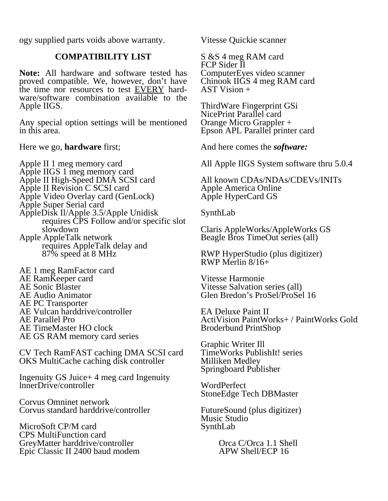ogy supplied parts voids above warranty.

# **COMPATIBILITY LIST**

**Note:** All hardware and software tested has proved compatible. We, however, don't have the time nor resources to test EVERY hardware/software combination available to the Apple IIGS.

Any special option settings will be mentioned in this area.

Here we go, **hardware** first;

Apple II 1 meg memory card Apple IIGS 1 meg memory card Apple II High-Speed DMA SCSI card Apple II Revision C SCSI card Apple Video Overlay card (GenLock) Apple Super Serial card AppleDisk Il/Apple 3.5/Apple Unidisk requires CPS Follow and/or specific slot slowdown Apple AppleTalk network requires AppleTalk delay and 87% speed at 8 MHz

AE 1 meg RamFactor card AE RamKeeper card AE Sonic Blaster AE Audio Animator AE PC Transporter AE Vulcan harddrive/controller AE Parallel Pro AE TimeMaster HO clock AE GS RAM memory card series

CV Tech RamFAST caching DMA SCSI card OKS MultiCache caching disk controller

Ingenuity GS Juice+ 4 meg card Ingenuity lnnerDrive/controller

Corvus Omninet network Corvus standard harddrive/controller

MicroSoft CP/M card CPS MultiFunction card GreyMatter harddrive/controller Epic Classic II 2400 baud modem Vitesse Quickie scanner

S &S 4 meg RAM card FCP Sider II ComputerEyes video scanner Chinook IIGS 4 meg RAM card AST Vision +

ThirdWare Fingerprint GSi NicePrint Parallel card Orange Micro Grappler + Epson APL Parallel printer card

And here comes the *software:*

All Apple IlGS System software thru 5.0.4

All known CDAs/NDAs/CDEVs/INITs Apple America Online Apple HyperCard GS

SynthLab

Claris AppleWorks/AppleWorks GS Beagle Bros TimeOut series (all)

RWP HyperStudio (plus digitizer) RWP Merlin 8/16+

Vitesse Harmonie Vitesse Salvation series (all) Glen Bredon's ProSel/ProSel 16

EA Deluxe Paint II ActiVision PaintWorks+ / PaintWorks Gold Broderbund PrintShop

Graphic Writer Ill TimeWorks PublishIt! series Milliken Medley Springboard Publisher

WordPerfect StoneEdge Tech DBMaster

FutureSound (plus digitizer) Music Studio SynthLab

> Orca C/Orca 1.1 Shell APW Shell/ECP 16